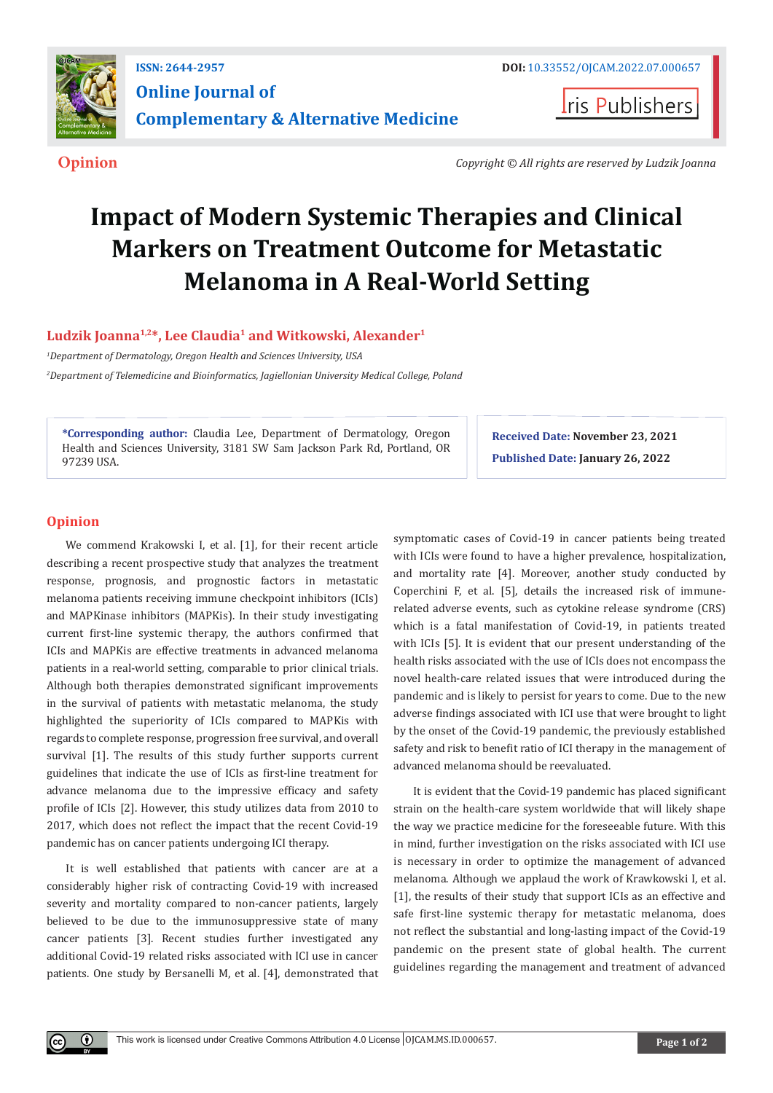

**Iris Publishers** 

**Opinion** *Copyright © All rights are reserved by Ludzik Joanna*

# **Impact of Modern Systemic Therapies and Clinical Markers on Treatment Outcome for Metastatic Melanoma in A Real-World Setting**

**Ludzik Joanna1,2\*, Lee Claudia1 and Witkowski, Alexander1**

*1 Department of Dermatology, Oregon Health and Sciences University, USA*

*2 Department of Telemedicine and Bioinformatics, Jagiellonian University Medical College, Poland*

**\*Corresponding author:** Claudia Lee, Department of Dermatology, Oregon Health and Sciences University, 3181 SW Sam Jackson Park Rd, Portland, OR 97239 USA.

**Received Date: November 23, 2021 Published Date: January 26, 2022**

## **Opinion**

 $\bf \odot$ 

We commend Krakowski I, et al. [1], for their recent article describing a recent prospective study that analyzes the treatment response, prognosis, and prognostic factors in metastatic melanoma patients receiving immune checkpoint inhibitors (ICIs) and MAPKinase inhibitors (MAPKis). In their study investigating current first-line systemic therapy, the authors confirmed that ICIs and MAPKis are effective treatments in advanced melanoma patients in a real-world setting, comparable to prior clinical trials. Although both therapies demonstrated significant improvements in the survival of patients with metastatic melanoma, the study highlighted the superiority of ICIs compared to MAPKis with regards to complete response, progression free survival, and overall survival [1]. The results of this study further supports current guidelines that indicate the use of ICIs as first-line treatment for advance melanoma due to the impressive efficacy and safety profile of ICIs [2]. However, this study utilizes data from 2010 to 2017, which does not reflect the impact that the recent Covid-19 pandemic has on cancer patients undergoing ICI therapy.

It is well established that patients with cancer are at a considerably higher risk of contracting Covid-19 with increased severity and mortality compared to non-cancer patients, largely believed to be due to the immunosuppressive state of many cancer patients [3]. Recent studies further investigated any additional Covid-19 related risks associated with ICI use in cancer patients. One study by Bersanelli M, et al. [4], demonstrated that

symptomatic cases of Covid-19 in cancer patients being treated with ICIs were found to have a higher prevalence, hospitalization, and mortality rate [4]. Moreover, another study conducted by Coperchini F, et al. [5], details the increased risk of immunerelated adverse events, such as cytokine release syndrome (CRS) which is a fatal manifestation of Covid-19, in patients treated with ICIs [5]. It is evident that our present understanding of the health risks associated with the use of ICIs does not encompass the novel health-care related issues that were introduced during the pandemic and is likely to persist for years to come. Due to the new adverse findings associated with ICI use that were brought to light by the onset of the Covid-19 pandemic, the previously established safety and risk to benefit ratio of ICI therapy in the management of advanced melanoma should be reevaluated.

It is evident that the Covid-19 pandemic has placed significant strain on the health-care system worldwide that will likely shape the way we practice medicine for the foreseeable future. With this in mind, further investigation on the risks associated with ICI use is necessary in order to optimize the management of advanced melanoma. Although we applaud the work of Krawkowski I, et al. [1], the results of their study that support ICIs as an effective and safe first-line systemic therapy for metastatic melanoma, does not reflect the substantial and long-lasting impact of the Covid-19 pandemic on the present state of global health. The current guidelines regarding the management and treatment of advanced